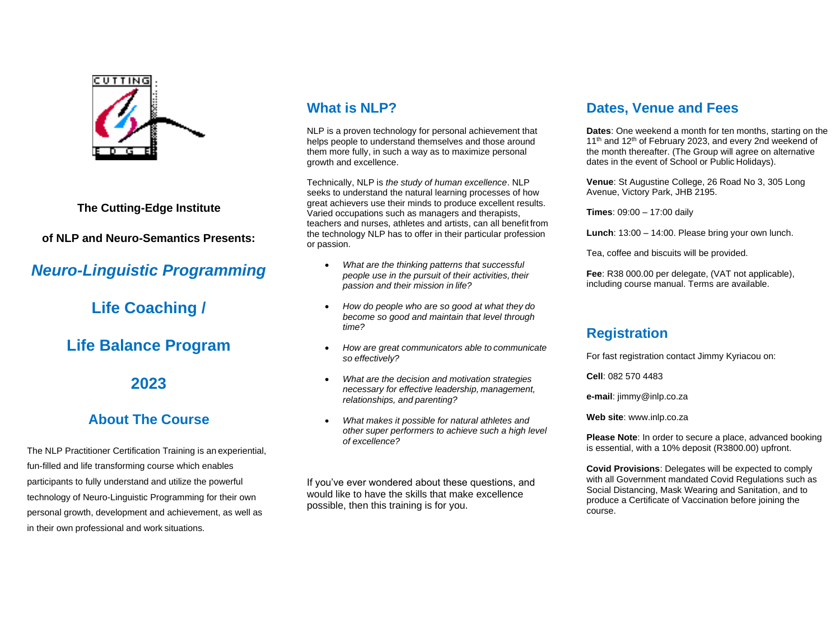

**The Cutting-Edge Institute**

**of NLP and Neuro-Semantics Presents:**

# *Neuro-Linguistic Programming*

**Life Coaching /** 

## **Life Balance Program**

## **2023**

### **About The Course**

The NLP Practitioner Certification Training is an experiential, fun-filled and life transforming course which enables participants to fully understand and utilize the powerful technology of Neuro-Linguistic Programming for their own personal growth, development and achievement, as well as in their own professional and work situations.

## **What is NLP?**

NLP is a proven technology for personal achievement that helps people to understand themselves and those around them more fully, in such a way as to maximize personal growth and excellence.

Technically, NLP is *the study of human excellence*. NLP seeks to understand the natural learning processes of how great achievers use their minds to produce excellent results. Varied occupations such as managers and therapists, teachers and nurses, athletes and artists, can all benefit from the technology NLP has to offer in their particular profession or passion.

- *What are the thinking patterns that successful people use in the pursuit of their activities, their passion and their mission in life?*
- *How do people who are so good at what they do become so good and maintain that level through time?*
- *How are great communicators able to communicate so effectively?*
- *What are the decision and motivation strategies necessary for effective leadership, management, relationships, and parenting?*
- *What makes it possible for natural athletes and other super performers to achieve such a high level of excellence?*

If you've ever wondered about these questions, and would like to have the skills that make excellence possible, then this training is for you.

### **Dates, Venue and Fees**

**Dates**: One weekend a month for ten months, starting on the 11<sup>th</sup> and 12<sup>th</sup> of February 2023, and every 2nd weekend of the month thereafter. (The Group will agree on alternative dates in the event of School or Public Holidays).

**Venue**: St Augustine College, 26 Road No 3, 305 Long Avenue, Victory Park, JHB 2195.

**Times**: 09:00 – 17:00 daily

**Lunch**: 13:00 – 14:00. Please bring your own lunch.

Tea, coffee and biscuits will be provided.

**Fee**: R38 000.00 per delegate, (VAT not applicable), including course manual. Terms are available.

### **Registration**

For fast registration contact Jimmy Kyriacou on:

**Cell**: 082 570 4483

**e-mail**: [jimmy@inlp.co.za](mailto:jimmy@inlp.co.za)

**Web site**: [www.inlp.co.za](http://www.inlp.co.za/)

**Please Note**: In order to secure a place, advanced booking is essential, with a 10% deposit (R3800.00) upfront.

**Covid Provisions**: Delegates will be expected to comply with all Government mandated Covid Regulations such as Social Distancing, Mask Wearing and Sanitation, and to produce a Certificate of Vaccination before joining the course.